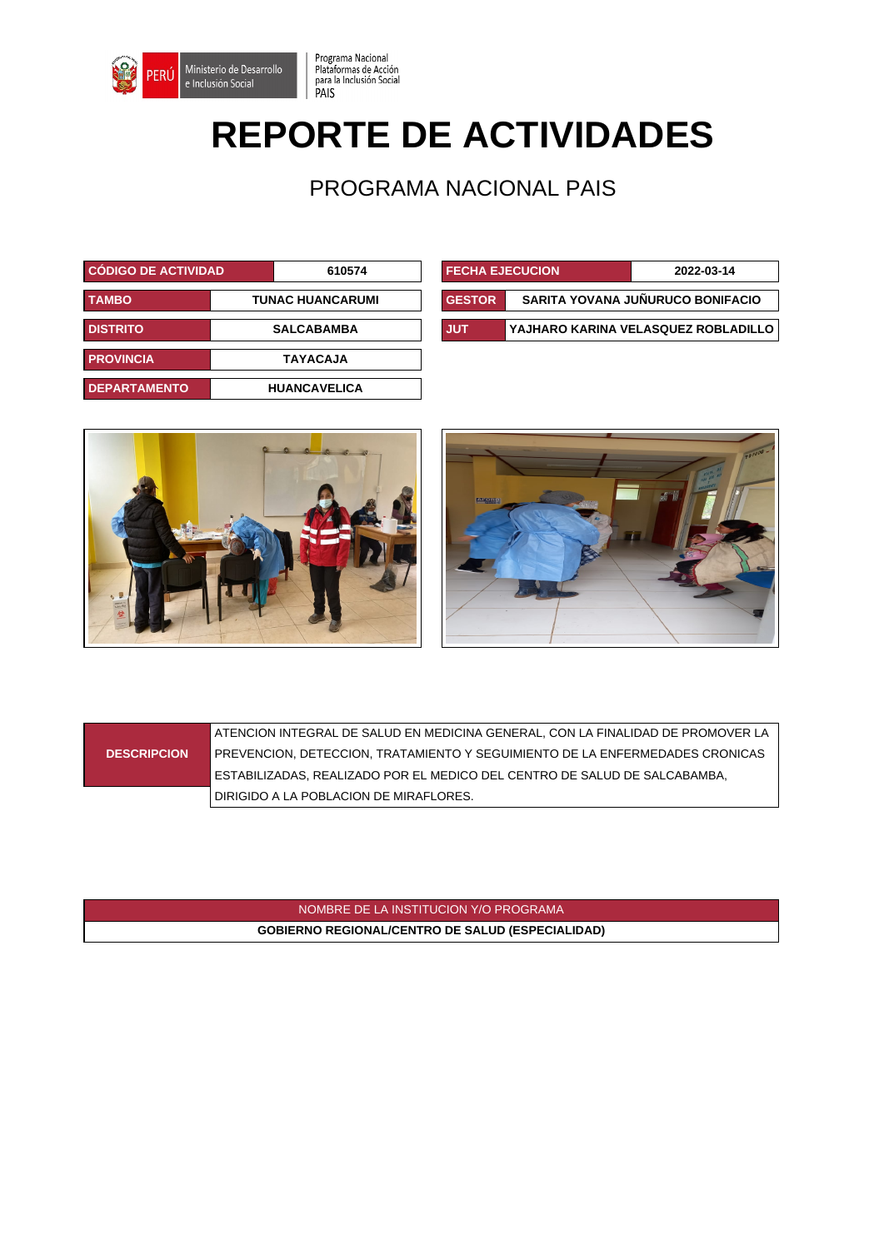

## **REPORTE DE ACTIVIDADES**

Programa Nacional<br>Plataformas de Acción<br>para la Inclusión Social<br>PAIS

PROGRAMA NACIONAL PAIS

| <b>CÓDIGO DE ACTIVIDAD</b>              |  | 610574              | <b>FECHA EJECUCION</b> |            | 2022-03-14                       |                                    |
|-----------------------------------------|--|---------------------|------------------------|------------|----------------------------------|------------------------------------|
| <b>TAMBO</b><br><b>TUNAC HUANCARUMI</b> |  |                     | <b>GESTOR</b>          |            | SARITA YOVANA JUÑURUCO BONIFACIO |                                    |
| <b>DISTRITO</b>                         |  | <b>SALCABAMBA</b>   |                        | <b>JUT</b> |                                  | YAJHARO KARINA VELASQUEZ ROBLADILI |
| <b>PROVINCIA</b>                        |  | <b>TAYACAJA</b>     |                        |            |                                  |                                    |
| <b>DEPARTAMENTO</b>                     |  | <b>HUANCAVELICA</b> |                        |            |                                  |                                    |

| <b>CODIGO DE ACTIVIDAD</b> |                   | 610574                  | <b>FECHA EJECUCION</b> | 2022-03-14                          |
|----------------------------|-------------------|-------------------------|------------------------|-------------------------------------|
| TAMBO                      |                   | <b>TUNAC HUANCARUMI</b> | <b>GESTOR</b>          | SARITA YOVANA JUÑURUCO BONIFACIO    |
| <b>DISTRITO</b>            | <b>SALCABAMBA</b> |                         | <b>JUT</b>             | YAJHARO KARINA VELASQUEZ ROBLADILLO |





|                    | ATENCION INTEGRAL DE SALUD EN MEDICINA GENERAL, CON LA FINALIDAD DE PROMOVER LA |
|--------------------|---------------------------------------------------------------------------------|
| <b>DESCRIPCION</b> | PREVENCION, DETECCION, TRATAMIENTO Y SEGUIMIENTO DE LA ENFERMEDADES CRONICAS    |
|                    | ESTABILIZADAS. REALIZADO POR EL MEDICO DEL CENTRO DE SALUD DE SALCABAMBA.       |
|                    | DIRIGIDO A LA POBLACION DE MIRAFLORES.                                          |

NOMBRE DE LA INSTITUCION Y/O PROGRAMA **GOBIERNO REGIONAL/CENTRO DE SALUD (ESPECIALIDAD)**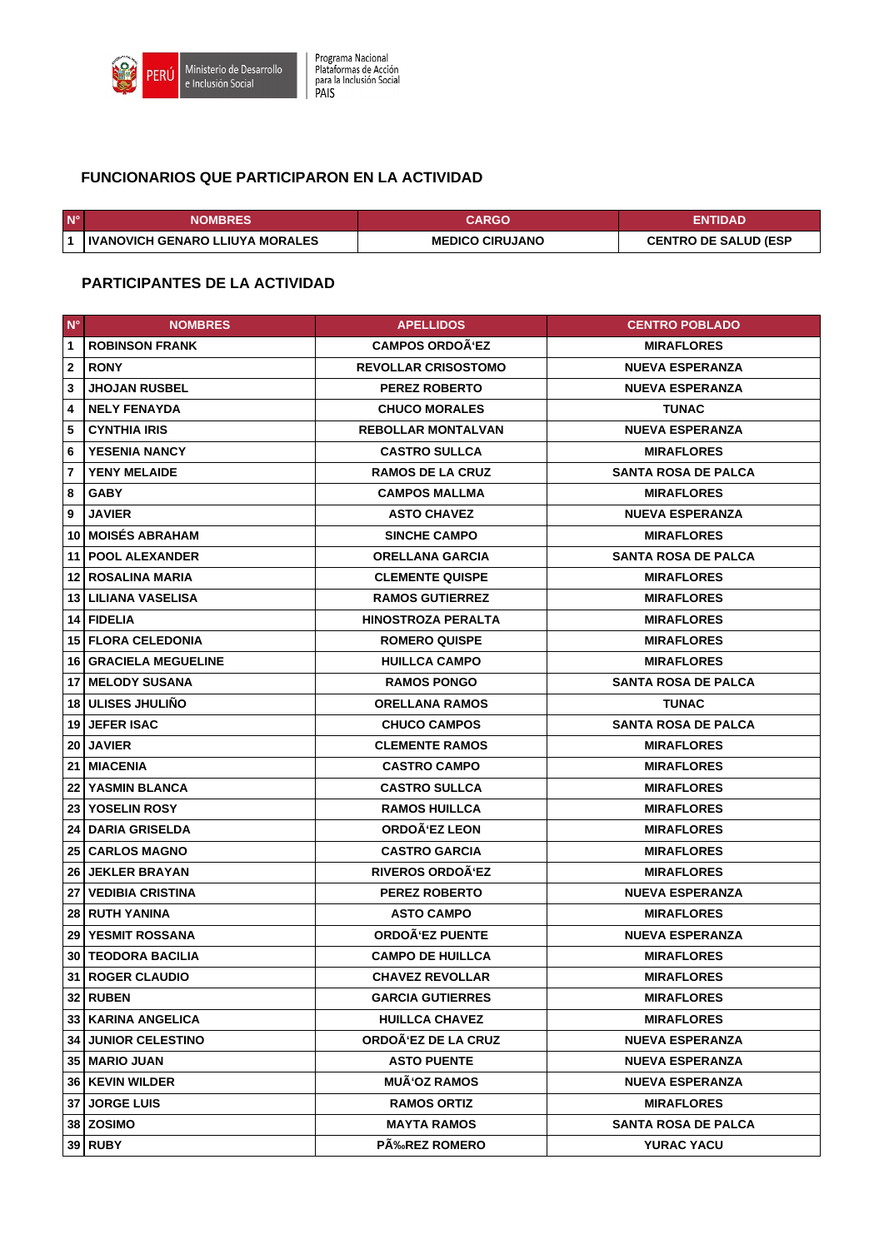

## **FUNCIONARIOS QUE PARTICIPARON EN LA ACTIVIDAD**

| $N^{\circ}$ | <b>NOMBRES</b> '                         | <b>CARGO</b>           | ENTIDAD                     |
|-------------|------------------------------------------|------------------------|-----------------------------|
|             | <b>I IVANOVICH GENARO LLIUYA MORALES</b> | <b>MEDICO CIRUJANO</b> | <b>CENTRO DE SALUD (ESP</b> |

## **PARTICIPANTES DE LA ACTIVIDAD**

| $N^{\circ}$      | <b>NOMBRES</b>                 | <b>APELLIDOS</b>           | <b>CENTRO POBLADO</b>      |
|------------------|--------------------------------|----------------------------|----------------------------|
| $\mathbf{1}$     | <b>ROBINSON FRANK</b>          | <b>CAMPOS ORDOA'EZ</b>     | <b>MIRAFLORES</b>          |
| $\boldsymbol{2}$ | <b>RONY</b>                    | <b>REVOLLAR CRISOSTOMO</b> | <b>NUEVA ESPERANZA</b>     |
| 3                | <b>JHOJAN RUSBEL</b>           | <b>PEREZ ROBERTO</b>       | <b>NUEVA ESPERANZA</b>     |
| 4                | <b>NELY FENAYDA</b>            | <b>CHUCO MORALES</b>       | <b>TUNAC</b>               |
| 5                | <b>CYNTHIA IRIS</b>            | <b>REBOLLAR MONTALVAN</b>  | <b>NUEVA ESPERANZA</b>     |
| 6                | <b>YESENIA NANCY</b>           | <b>CASTRO SULLCA</b>       | <b>MIRAFLORES</b>          |
| $\overline{7}$   | <b>YENY MELAIDE</b>            | <b>RAMOS DE LA CRUZ</b>    | <b>SANTA ROSA DE PALCA</b> |
| 8                | <b>GABY</b>                    | <b>CAMPOS MALLMA</b>       | <b>MIRAFLORES</b>          |
| 9                | <b>JAVIER</b>                  | <b>ASTO CHAVEZ</b>         | <b>NUEVA ESPERANZA</b>     |
| 10               | <b>MOISÉS ABRAHAM</b>          | <b>SINCHE CAMPO</b>        | <b>MIRAFLORES</b>          |
|                  | 11   POOL ALEXANDER            | <b>ORELLANA GARCIA</b>     | <b>SANTA ROSA DE PALCA</b> |
|                  | 12   ROSALINA MARIA            | <b>CLEMENTE QUISPE</b>     | <b>MIRAFLORES</b>          |
|                  | 13   LILIANA VASELISA          | <b>RAMOS GUTIERREZ</b>     | <b>MIRAFLORES</b>          |
|                  | 14   FIDELIA                   | <b>HINOSTROZA PERALTA</b>  | <b>MIRAFLORES</b>          |
|                  | <b>15   FLORA CELEDONIA</b>    | <b>ROMERO QUISPE</b>       | <b>MIRAFLORES</b>          |
|                  | <b>16   GRACIELA MEGUELINE</b> | <b>HUILLCA CAMPO</b>       | <b>MIRAFLORES</b>          |
|                  | <b>17   MELODY SUSANA</b>      | <b>RAMOS PONGO</b>         | <b>SANTA ROSA DE PALCA</b> |
|                  | 18   ULISES JHULIÑO            | <b>ORELLANA RAMOS</b>      | <b>TUNAC</b>               |
|                  | <b>19 JEFER ISAC</b>           | <b>CHUCO CAMPOS</b>        | <b>SANTA ROSA DE PALCA</b> |
| 20               | <b>JAVIER</b>                  | <b>CLEMENTE RAMOS</b>      | <b>MIRAFLORES</b>          |
|                  | 21   MIACENIA                  | <b>CASTRO CAMPO</b>        | <b>MIRAFLORES</b>          |
|                  | <b>22 YASMIN BLANCA</b>        | <b>CASTRO SULLCA</b>       | <b>MIRAFLORES</b>          |
|                  | <b>23 YOSELIN ROSY</b>         | <b>RAMOS HUILLCA</b>       | <b>MIRAFLORES</b>          |
| 24               | <b>DARIA GRISELDA</b>          | ORDOÄ'EZ LEON              | <b>MIRAFLORES</b>          |
|                  | <b>25   CARLOS MAGNO</b>       | <b>CASTRO GARCIA</b>       | <b>MIRAFLORES</b>          |
|                  | <b>26 JEKLER BRAYAN</b>        | <b>RIVEROS ORDOA'EZ</b>    | <b>MIRAFLORES</b>          |
| 27               | <b>VEDIBIA CRISTINA</b>        | <b>PEREZ ROBERTO</b>       | <b>NUEVA ESPERANZA</b>     |
|                  | 28   RUTH YANINA               | <b>ASTO CAMPO</b>          | <b>MIRAFLORES</b>          |
|                  | 29   YESMIT ROSSANA            | ORDOÃ'EZ PUENTE            | <b>NUEVA ESPERANZA</b>     |
|                  | <b>30   TEODORA BACILIA</b>    | <b>CAMPO DE HUILLCA</b>    | <b>MIRAFLORES</b>          |
|                  | 31 ROGER CLAUDIO               | <b>CHAVEZ REVOLLAR</b>     | <b>MIRAFLORES</b>          |
|                  | <b>32   RUBEN</b>              | <b>GARCIA GUTIERRES</b>    | <b>MIRAFLORES</b>          |
|                  | 33   KARINA ANGELICA           | <b>HUILLCA CHAVEZ</b>      | <b>MIRAFLORES</b>          |
|                  | <b>34 JUNIOR CELESTINO</b>     | ORDOÂ'EZ DE LA CRUZ        | <b>NUEVA ESPERANZA</b>     |
|                  | 35   MARIO JUAN                | <b>ASTO PUENTE</b>         | <b>NUEVA ESPERANZA</b>     |
|                  | <b>36   KEVIN WILDER</b>       | <b>MUÃ'OZ RAMOS</b>        | <b>NUEVA ESPERANZA</b>     |
|                  | <b>37 JORGE LUIS</b>           | <b>RAMOS ORTIZ</b>         | <b>MIRAFLORES</b>          |
|                  | 38 ZOSIMO                      | <b>MAYTA RAMOS</b>         | <b>SANTA ROSA DE PALCA</b> |
|                  | $39$ RUBY                      | <b>PÄ%REZ ROMERO</b>       | <b>YURAC YACU</b>          |